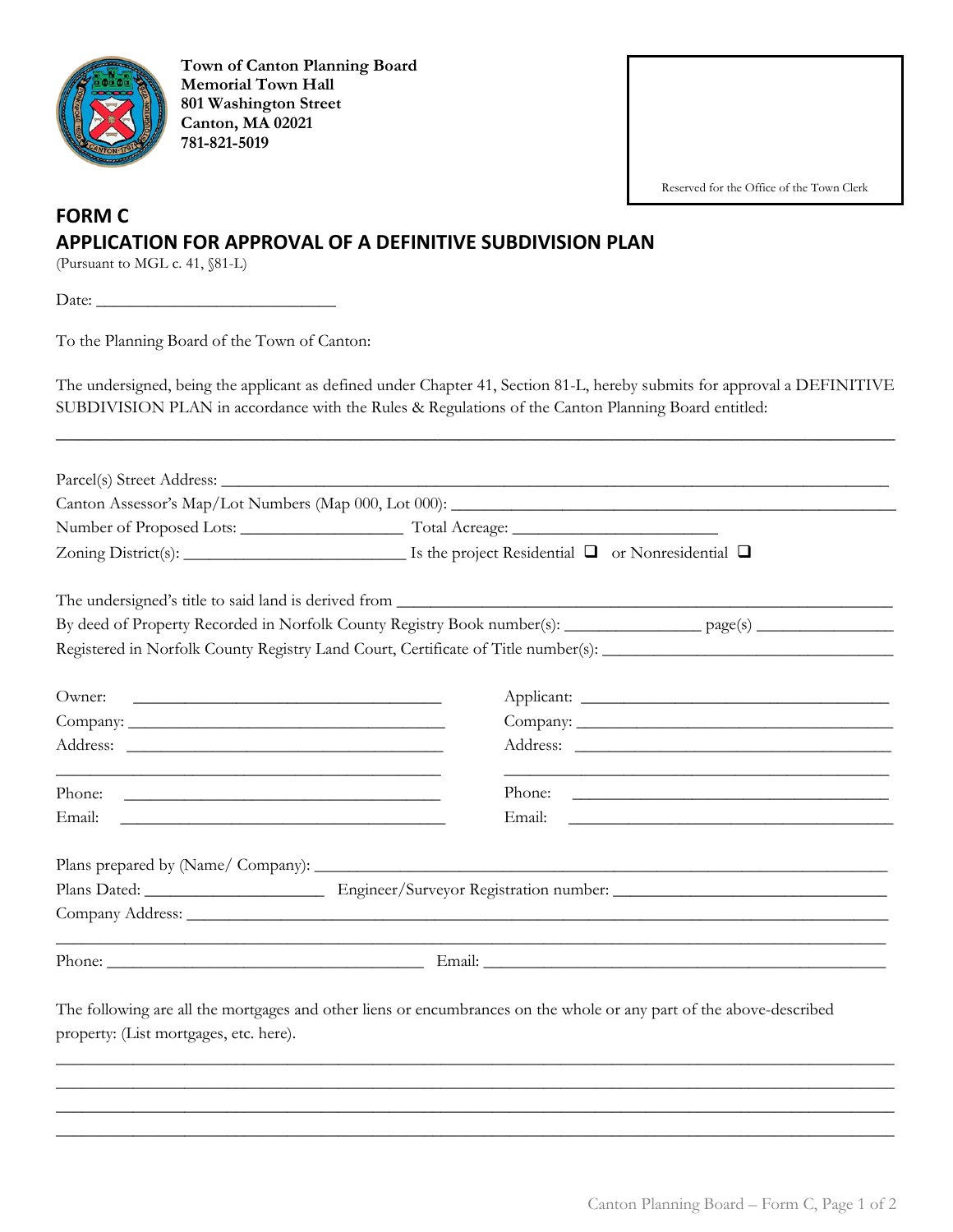

**Town of Canton Planning Board Memorial Town Hall 801 Washington Street Canton, MA 02021 781-821-5019**

Reserved for the Office of the Town Clerk

## **FORM C APPLICATION FOR APPROVAL OF A DEFINITIVE SUBDIVISION PLAN**

(Pursuant to MGL c. 41, §81-L)

Date:

To the Planning Board of the Town of Canton:

The undersigned, being the applicant as defined under Chapter 41, Section 81-L, hereby submits for approval a DEFINITIVE SUBDIVISION PLAN in accordance with the Rules & Regulations of the Canton Planning Board entitled:

\_\_\_\_\_\_\_\_\_\_\_\_\_\_\_\_\_\_\_\_\_\_\_\_\_\_\_\_\_\_\_\_\_\_\_\_\_\_\_\_\_\_\_\_\_\_\_\_\_\_\_\_\_\_\_\_\_\_\_\_\_\_\_\_\_\_\_\_\_\_\_\_\_\_\_\_\_

|                                                                                                                                                                                                                                                | The undersigned's title to said land is derived from                                                                |                                               |  |  |
|------------------------------------------------------------------------------------------------------------------------------------------------------------------------------------------------------------------------------------------------|---------------------------------------------------------------------------------------------------------------------|-----------------------------------------------|--|--|
|                                                                                                                                                                                                                                                | By deed of Property Recorded in Norfolk County Registry Book number(s): _________________ page(s) ____________      |                                               |  |  |
|                                                                                                                                                                                                                                                | Registered in Norfolk County Registry Land Court, Certificate of Title number(s): ____________________________      |                                               |  |  |
| Owner:<br><u> 1989 - Johann Harry Harry Harry Harry Harry Harry Harry Harry Harry Harry Harry Harry Harry Harry Harry Harry Harry Harry Harry Harry Harry Harry Harry Harry Harry Harry Harry Harry Harry Harry Harry Harry Harry Harry Ha</u> |                                                                                                                     |                                               |  |  |
|                                                                                                                                                                                                                                                |                                                                                                                     |                                               |  |  |
|                                                                                                                                                                                                                                                |                                                                                                                     |                                               |  |  |
| Phone:                                                                                                                                                                                                                                         |                                                                                                                     | Phone:                                        |  |  |
| Email:<br><u> 1989 - Andrea Stadt, fransk politik amerikansk politik (d. 1989)</u>                                                                                                                                                             | Email:                                                                                                              | <u> 1980 - Andrea Andrew Maria (h. 1980).</u> |  |  |
|                                                                                                                                                                                                                                                |                                                                                                                     |                                               |  |  |
|                                                                                                                                                                                                                                                |                                                                                                                     |                                               |  |  |
|                                                                                                                                                                                                                                                |                                                                                                                     |                                               |  |  |
|                                                                                                                                                                                                                                                |                                                                                                                     |                                               |  |  |
| property: (List mortgages, etc. here).                                                                                                                                                                                                         | The following are all the mortgages and other liens or encumbrances on the whole or any part of the above-described |                                               |  |  |

 $\_$  ,  $\_$  ,  $\_$  ,  $\_$  ,  $\_$  ,  $\_$  ,  $\_$  ,  $\_$  ,  $\_$  ,  $\_$  ,  $\_$  ,  $\_$  ,  $\_$  ,  $\_$  ,  $\_$  ,  $\_$  ,  $\_$  ,  $\_$  ,  $\_$  ,  $\_$  ,  $\_$  ,  $\_$  ,  $\_$  ,  $\_$  ,  $\_$  ,  $\_$  ,  $\_$  ,  $\_$  ,  $\_$  ,  $\_$  ,  $\_$  ,  $\_$  ,  $\_$  ,  $\_$  ,  $\_$  ,  $\_$  ,  $\_$  , \_\_\_\_\_\_\_\_\_\_\_\_\_\_\_\_\_\_\_\_\_\_\_\_\_\_\_\_\_\_\_\_\_\_\_\_\_\_\_\_\_\_\_\_\_\_\_\_\_\_\_\_\_\_\_\_\_\_\_\_\_\_\_\_\_\_\_\_\_\_\_\_\_\_\_\_\_\_\_\_\_\_\_\_\_\_\_\_\_\_\_\_\_\_\_\_\_\_  $\_$  ,  $\_$  ,  $\_$  ,  $\_$  ,  $\_$  ,  $\_$  ,  $\_$  ,  $\_$  ,  $\_$  ,  $\_$  ,  $\_$  ,  $\_$  ,  $\_$  ,  $\_$  ,  $\_$  ,  $\_$  ,  $\_$  ,  $\_$  ,  $\_$  ,  $\_$  ,  $\_$  ,  $\_$  ,  $\_$  ,  $\_$  ,  $\_$  ,  $\_$  ,  $\_$  ,  $\_$  ,  $\_$  ,  $\_$  ,  $\_$  ,  $\_$  ,  $\_$  ,  $\_$  ,  $\_$  ,  $\_$  ,  $\_$  , \_\_\_\_\_\_\_\_\_\_\_\_\_\_\_\_\_\_\_\_\_\_\_\_\_\_\_\_\_\_\_\_\_\_\_\_\_\_\_\_\_\_\_\_\_\_\_\_\_\_\_\_\_\_\_\_\_\_\_\_\_\_\_\_\_\_\_\_\_\_\_\_\_\_\_\_\_\_\_\_\_\_\_\_\_\_\_\_\_\_\_\_\_\_\_\_\_\_